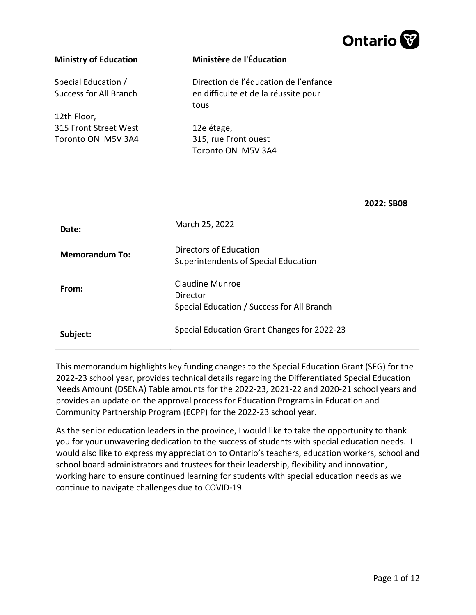

| <b>Ministry of Education</b>                         | Ministère de l'Éducation                                                              |
|------------------------------------------------------|---------------------------------------------------------------------------------------|
| Special Education /<br><b>Success for All Branch</b> | Direction de l'éducation de l'enfance<br>en difficulté et de la réussite pour<br>tous |
| 12th Floor,                                          |                                                                                       |
| 315 Front Street West                                | 12e étage,                                                                            |
| Toronto ON M5V 3A4                                   | 315, rue Front ouest<br>Toronto ON M5V 3A4                                            |
|                                                      | 2022: SB08                                                                            |
| Date:                                                | March 25, 2022                                                                        |
|                                                      | Directors of Education                                                                |
| <b>Memorandum To:</b>                                | Superintendents of Special Education                                                  |
| From:                                                | <b>Claudine Munroe</b><br>Director                                                    |
|                                                      | Special Education / Success for All Branch                                            |
| Subject:                                             | Special Education Grant Changes for 2022-23                                           |

This memorandum highlights key funding changes to the Special Education Grant (SEG) for the 2022-23 school year, provides technical details regarding the Differentiated Special Education Needs Amount (DSENA) Table amounts for the 2022-23, 2021-22 and 2020-21 school years and provides an update on the approval process for Education Programs in Education and Community Partnership Program (ECPP) for the 2022-23 school year.

As the senior education leaders in the province, I would like to take the opportunity to thank you for your unwavering dedication to the success of students with special education needs. I would also like to express my appreciation to Ontario's teachers, education workers, school and school board administrators and trustees for their leadership, flexibility and innovation, working hard to ensure continued learning for students with special education needs as we continue to navigate challenges due to COVID-19.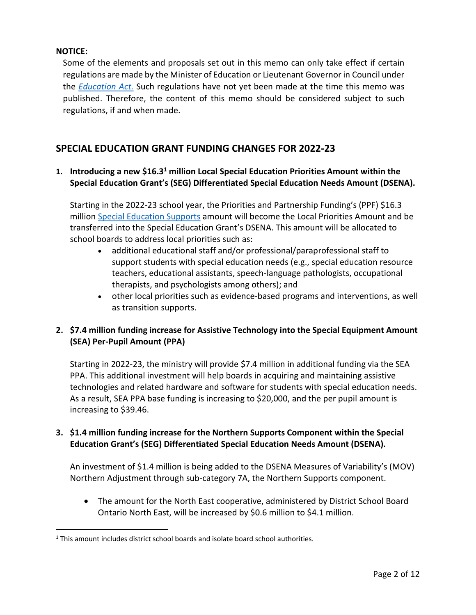#### **NOTICE:**

Some of the elements and proposals set out in this memo can only take effect if certain regulations are made by the Minister of Education or Lieutenant Governor in Council under the *[Education Act.](https://www.ontario.ca/laws/statute/90e02)* Such regulations have not yet been made at the time this memo was published. Therefore, the content of this memo should be considered subject to such regulations, if and when made.

### **SPECIAL EDUCATION GRANT FUNDING CHANGES FOR 2022-23**

#### **1. Introducing a new \$16.3 [1](#page-1-0) million Local Special Education Priorities Amount within the Special Education Grant's (SEG) Differentiated Special Education Needs Amount (DSENA).**

<span id="page-1-1"></span>Starting in the 2022-23 school year, the Priorities and Partnership Funding's (PPF) \$16.3 million [Special Education Supports](https://efis.fma.csc.gov.on.ca/faab/Memos/B2021/B07_EN.pdf) amount will become the Local Priorities Amount and be transferred into the Special Education Grant's DSENA. This amount will be allocated to school boards to address local priorities such as:

- additional educational staff and/or professional/paraprofessional staff to support students with special education needs (e.g., special education resource teachers, educational assistants, speech-language pathologists, occupational therapists, and psychologists among others); and
- other local priorities such as evidence-based programs and interventions, as well as transition supports.

### **2. \$7.4 million funding increase for Assistive Technology into the Special Equipment Amount (SEA) Per-Pupil Amount (PPA)**

Starting in 2022-23, the ministry will provide \$7.4 million in additional funding via the SEA PPA. This additional investment will help boards in acquiring and maintaining assistive technologies and related hardware and software for students with special education needs. As a result, SEA PPA base funding is increasing to \$20,000, and the per pupil amount is increasing to \$39.46.

### **3. \$1.4 million funding increase for the Northern Supports Component within the Special Education Grant's (SEG) Differentiated Special Education Needs Amount (DSENA).**

An investment of \$1.4 million is being added to the DSENA Measures of Variability's (MOV) Northern Adjustment through sub-category 7A, the Northern Supports component.

• The amount for the North East cooperative, administered by District School Board Ontario North East, will be increased by \$0.6 million to \$4.1 million.

<span id="page-1-0"></span><sup>&</sup>lt;sup>[1](#page-1-1)</sup> This amount includes district school boards and isolate board school authorities.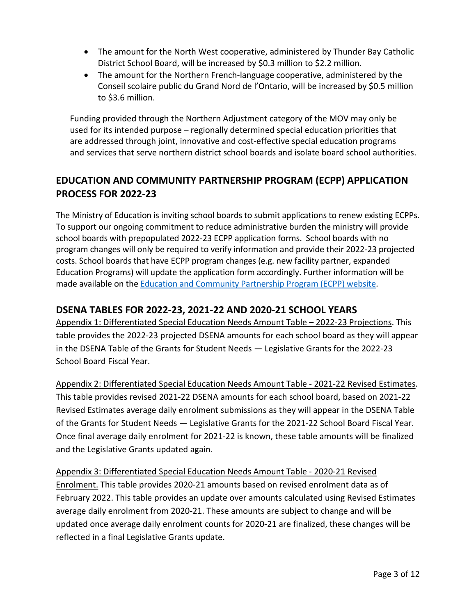- The amount for the North West cooperative, administered by Thunder Bay Catholic District School Board, will be increased by \$0.3 million to \$2.2 million.
- The amount for the Northern French-language cooperative, administered by the Conseil scolaire public du Grand Nord de l'Ontario, will be increased by \$0.5 million to \$3.6 million.

Funding provided through the Northern Adjustment category of the MOV may only be used for its intended purpose – regionally determined special education priorities that are addressed through joint, innovative and cost-effective special education programs and services that serve northern district school boards and isolate board school authorities.

## **EDUCATION AND COMMUNITY PARTNERSHIP PROGRAM (ECPP) APPLICATION PROCESS FOR 2022-23**

The Ministry of Education is inviting school boards to submit applications to renew existing ECPPs. To support our ongoing commitment to reduce administrative burden the ministry will provide school boards with prepopulated 2022-23 ECPP application forms. School boards with no program changes will only be required to verify information and provide their 2022-23 projected costs. School boards that have ECPP program changes (e.g. new facility partner, expanded Education Programs) will update the application form accordingly. Further information will be made available on th[e Education and Community Partnership Program \(ECPP\) website.](https://efis.fma.csc.gov.on.ca/faab/Section%2023.htm)

### **DSENA TABLES FOR 2022-23, 2021-22 AND 2020-21 SCHOOL YEARS**

Appendix 1: Differentiated Special Education Needs Amount Table – 2022-23 Projections. This table provides the 2022-23 projected DSENA amounts for each school board as they will appear in the DSENA Table of the Grants for Student Needs — Legislative Grants for the 2022-23 School Board Fiscal Year.

Appendix 2: Differentiated Special Education Needs Amount Table - 2021-22 Revised Estimates. This table provides revised 2021-22 DSENA amounts for each school board, based on 2021-22 Revised Estimates average daily enrolment submissions as they will appear in the DSENA Table of the Grants for Student Needs — Legislative Grants for the 2021-22 School Board Fiscal Year. Once final average daily enrolment for 2021-22 is known, these table amounts will be finalized and the Legislative Grants updated again.

## Appendix 3: Differentiated Special Education Needs Amount Table - 2020-21 Revised Enrolment. This table provides 2020-21 amounts based on revised enrolment data as of February 2022. This table provides an update over amounts calculated using Revised Estimates average daily enrolment from 2020-21. These amounts are subject to change and will be updated once average daily enrolment counts for 2020-21 are finalized, these changes will be reflected in a final Legislative Grants update.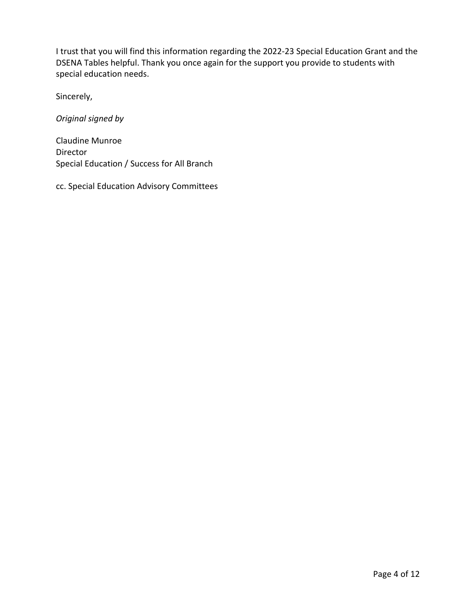I trust that you will find this information regarding the 2022-23 Special Education Grant and the DSENA Tables helpful. Thank you once again for the support you provide to students with special education needs.

Sincerely,

*Original signed by*

Claudine Munroe Director Special Education / Success for All Branch

cc. Special Education Advisory Committees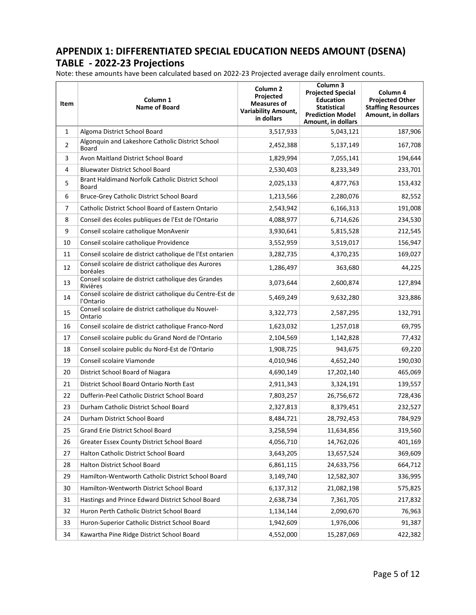## **APPENDIX 1: DIFFERENTIATED SPECIAL EDUCATION NEEDS AMOUNT (DSENA) TABLE - 2022-23 Projections**

Note: these amounts have been calculated based on 2022-23 Projected average daily enrolment counts.

| Item | Column 1<br><b>Name of Board</b>                                      | Column <sub>2</sub><br>Projected<br><b>Measures of</b><br><b>Variability Amount,</b><br>in dollars | Column 3<br><b>Projected Special</b><br><b>Education</b><br><b>Statistical</b><br><b>Prediction Model</b><br>Amount, in dollars | Column 4<br><b>Projected Other</b><br><b>Staffing Resources</b><br>Amount, in dollars |
|------|-----------------------------------------------------------------------|----------------------------------------------------------------------------------------------------|---------------------------------------------------------------------------------------------------------------------------------|---------------------------------------------------------------------------------------|
| 1    | Algoma District School Board                                          | 3,517,933                                                                                          | 5,043,121                                                                                                                       | 187,906                                                                               |
| 2    | Algonquin and Lakeshore Catholic District School<br>Board             | 2,452,388                                                                                          | 5,137,149                                                                                                                       | 167,708                                                                               |
| 3    | Avon Maitland District School Board                                   | 1,829,994                                                                                          | 7,055,141                                                                                                                       | 194,644                                                                               |
| 4    | <b>Bluewater District School Board</b>                                | 2,530,403                                                                                          | 8,233,349                                                                                                                       | 233,701                                                                               |
| 5    | Brant Haldimand Norfolk Catholic District School<br>Board             | 2,025,133                                                                                          | 4,877,763                                                                                                                       | 153,432                                                                               |
| 6    | Bruce-Grey Catholic District School Board                             | 1,213,566                                                                                          | 2,280,076                                                                                                                       | 82,552                                                                                |
| 7    | Catholic District School Board of Eastern Ontario                     | 2,543,942                                                                                          | 6,166,313                                                                                                                       | 191,008                                                                               |
| 8    | Conseil des écoles publiques de l'Est de l'Ontario                    | 4,088,977                                                                                          | 6,714,626                                                                                                                       | 234,530                                                                               |
| 9    | Conseil scolaire catholique MonAvenir                                 | 3,930,641                                                                                          | 5,815,528                                                                                                                       | 212,545                                                                               |
| 10   | Conseil scolaire catholique Providence                                | 3,552,959                                                                                          | 3,519,017                                                                                                                       | 156,947                                                                               |
| 11   | Conseil scolaire de district catholique de l'Est ontarien             | 3,282,735                                                                                          | 4,370,235                                                                                                                       | 169,027                                                                               |
| 12   | Conseil scolaire de district catholique des Aurores<br>boréales       | 1,286,497                                                                                          | 363,680                                                                                                                         | 44,225                                                                                |
| 13   | Conseil scolaire de district catholique des Grandes<br>Rivières       | 3,073,644                                                                                          | 2,600,874                                                                                                                       | 127,894                                                                               |
| 14   | Conseil scolaire de district catholique du Centre-Est de<br>l'Ontario | 5,469,249                                                                                          | 9,632,280                                                                                                                       | 323,886                                                                               |
| 15   | Conseil scolaire de district catholique du Nouvel-<br>Ontario         | 3,322,773                                                                                          | 2,587,295                                                                                                                       | 132,791                                                                               |
| 16   | Conseil scolaire de district catholique Franco-Nord                   | 1,623,032                                                                                          | 1,257,018                                                                                                                       | 69,795                                                                                |
| 17   | Conseil scolaire public du Grand Nord de l'Ontario                    | 2,104,569                                                                                          | 1,142,828                                                                                                                       | 77,432                                                                                |
| 18   | Conseil scolaire public du Nord-Est de l'Ontario                      | 1,908,725                                                                                          | 943,675                                                                                                                         | 69,220                                                                                |
| 19   | Conseil scolaire Viamonde                                             | 4,010,946                                                                                          | 4,652,240                                                                                                                       | 190,030                                                                               |
| 20   | District School Board of Niagara                                      | 4,690,149                                                                                          | 17,202,140                                                                                                                      | 465,069                                                                               |
| 21   | District School Board Ontario North East                              | 2,911,343                                                                                          | 3,324,191                                                                                                                       | 139,557                                                                               |
| 22   | Dufferin-Peel Catholic District School Board                          | 7,803,257                                                                                          | 26,756,672                                                                                                                      | 728,436                                                                               |
| 23   | Durham Catholic District School Board                                 | 2,327,813                                                                                          | 8,379,451                                                                                                                       | 232,527                                                                               |
| 24   | Durham District School Board                                          | 8,484,721                                                                                          | 28,792,453                                                                                                                      | 784,929                                                                               |
| 25   | Grand Erie District School Board                                      | 3,258,594                                                                                          | 11,634,856                                                                                                                      | 319,560                                                                               |
| 26   | Greater Essex County District School Board                            | 4,056,710                                                                                          | 14,762,026                                                                                                                      | 401,169                                                                               |
| 27   | Halton Catholic District School Board                                 | 3,643,205                                                                                          | 13,657,524                                                                                                                      | 369,609                                                                               |
| 28   | Halton District School Board                                          | 6,861,115                                                                                          | 24,633,756                                                                                                                      | 664,712                                                                               |
| 29   | Hamilton-Wentworth Catholic District School Board                     | 3,149,740                                                                                          | 12,582,307                                                                                                                      | 336,995                                                                               |
| 30   | Hamilton-Wentworth District School Board                              | 6,137,312                                                                                          | 21,082,198                                                                                                                      | 575,825                                                                               |
| 31   | Hastings and Prince Edward District School Board                      | 2,638,734                                                                                          | 7,361,705                                                                                                                       | 217,832                                                                               |
| 32   | Huron Perth Catholic District School Board                            | 1,134,144                                                                                          | 2,090,670                                                                                                                       | 76,963                                                                                |
| 33   | Huron-Superior Catholic District School Board                         | 1,942,609                                                                                          | 1,976,006                                                                                                                       | 91,387                                                                                |
| 34   | Kawartha Pine Ridge District School Board                             | 4,552,000                                                                                          | 15,287,069                                                                                                                      | 422,382                                                                               |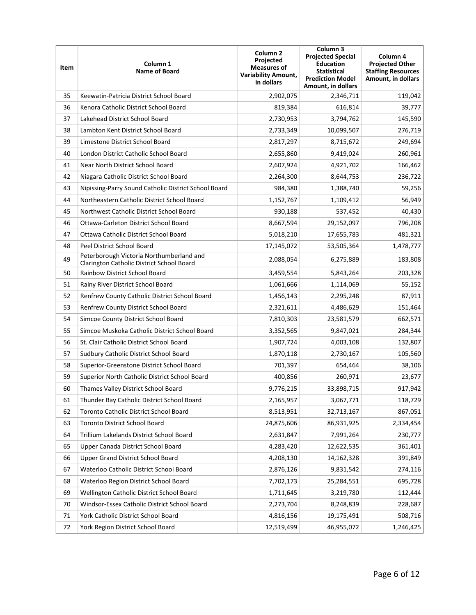| Item | Column 1<br><b>Name of Board</b>                                                      | Column <sub>2</sub><br>Projected<br><b>Measures of</b><br><b>Variability Amount,</b><br>in dollars | Column 3<br><b>Projected Special</b><br><b>Education</b><br><b>Statistical</b><br><b>Prediction Model</b><br>Amount, in dollars | Column 4<br><b>Projected Other</b><br><b>Staffing Resources</b><br>Amount, in dollars |
|------|---------------------------------------------------------------------------------------|----------------------------------------------------------------------------------------------------|---------------------------------------------------------------------------------------------------------------------------------|---------------------------------------------------------------------------------------|
| 35   | Keewatin-Patricia District School Board                                               | 2,902,075                                                                                          | 2,346,711                                                                                                                       | 119,042                                                                               |
| 36   | Kenora Catholic District School Board                                                 | 819,384                                                                                            | 616,814                                                                                                                         | 39,777                                                                                |
| 37   | Lakehead District School Board                                                        | 2,730,953                                                                                          | 3,794,762                                                                                                                       | 145,590                                                                               |
| 38   | Lambton Kent District School Board                                                    | 2,733,349                                                                                          | 10,099,507                                                                                                                      | 276,719                                                                               |
| 39   | Limestone District School Board                                                       | 2,817,297                                                                                          | 8,715,672                                                                                                                       | 249,694                                                                               |
| 40   | London District Catholic School Board                                                 | 2,655,860                                                                                          | 9,419,024                                                                                                                       | 260,961                                                                               |
| 41   | Near North District School Board                                                      | 2,607,924                                                                                          | 4,921,702                                                                                                                       | 166,462                                                                               |
| 42   | Niagara Catholic District School Board                                                | 2,264,300                                                                                          | 8,644,753                                                                                                                       | 236,722                                                                               |
| 43   | Nipissing-Parry Sound Catholic District School Board                                  | 984,380                                                                                            | 1,388,740                                                                                                                       | 59,256                                                                                |
| 44   | Northeastern Catholic District School Board                                           | 1,152,767                                                                                          | 1,109,412                                                                                                                       | 56,949                                                                                |
| 45   | Northwest Catholic District School Board                                              | 930,188                                                                                            | 537,452                                                                                                                         | 40,430                                                                                |
| 46   | Ottawa-Carleton District School Board                                                 | 8,667,594                                                                                          | 29,152,097                                                                                                                      | 796,208                                                                               |
| 47   | Ottawa Catholic District School Board                                                 | 5,018,210                                                                                          | 17,655,783                                                                                                                      | 481,321                                                                               |
| 48   | Peel District School Board                                                            | 17,145,072                                                                                         | 53,505,364                                                                                                                      | 1,478,777                                                                             |
| 49   | Peterborough Victoria Northumberland and<br>Clarington Catholic District School Board | 2,088,054                                                                                          | 6,275,889                                                                                                                       | 183,808                                                                               |
| 50   | <b>Rainbow District School Board</b>                                                  | 3,459,554                                                                                          | 5,843,264                                                                                                                       | 203,328                                                                               |
| 51   | Rainy River District School Board                                                     | 1,061,666                                                                                          | 1,114,069                                                                                                                       | 55,152                                                                                |
| 52   | Renfrew County Catholic District School Board                                         | 1,456,143                                                                                          | 2,295,248                                                                                                                       | 87,911                                                                                |
| 53   | Renfrew County District School Board                                                  | 2,321,611                                                                                          | 4,486,629                                                                                                                       | 151,464                                                                               |
| 54   | Simcoe County District School Board                                                   | 7,810,303                                                                                          | 23,581,579                                                                                                                      | 662,571                                                                               |
| 55   | Simcoe Muskoka Catholic District School Board                                         | 3,352,565                                                                                          | 9,847,021                                                                                                                       | 284,344                                                                               |
| 56   | St. Clair Catholic District School Board                                              | 1,907,724                                                                                          | 4,003,108                                                                                                                       | 132,807                                                                               |
| 57   | Sudbury Catholic District School Board                                                | 1,870,118                                                                                          | 2,730,167                                                                                                                       | 105,560                                                                               |
| 58   | Superior-Greenstone District School Board                                             | 701,397                                                                                            | 654,464                                                                                                                         | 38,106                                                                                |
| 59   | Superior North Catholic District School Board                                         | 400,856                                                                                            | 260,971                                                                                                                         | 23,677                                                                                |
| 60   | Thames Valley District School Board                                                   | 9,776,215                                                                                          | 33,898,715                                                                                                                      | 917,942                                                                               |
| 61   | Thunder Bay Catholic District School Board                                            | 2,165,957                                                                                          | 3,067,771                                                                                                                       | 118,729                                                                               |
| 62   | Toronto Catholic District School Board                                                | 8,513,951                                                                                          | 32,713,167                                                                                                                      | 867,051                                                                               |
| 63   | Toronto District School Board                                                         | 24,875,606                                                                                         | 86,931,925                                                                                                                      | 2,334,454                                                                             |
| 64   | Trillium Lakelands District School Board                                              | 2,631,847                                                                                          | 7,991,264                                                                                                                       | 230,777                                                                               |
| 65   | Upper Canada District School Board                                                    | 4,283,420                                                                                          | 12,622,535                                                                                                                      | 361,401                                                                               |
| 66   | Upper Grand District School Board                                                     | 4,208,130                                                                                          | 14,162,328                                                                                                                      | 391,849                                                                               |
| 67   | Waterloo Catholic District School Board                                               | 2,876,126                                                                                          | 9,831,542                                                                                                                       | 274,116                                                                               |
| 68   | Waterloo Region District School Board                                                 | 7,702,173                                                                                          | 25,284,551                                                                                                                      | 695,728                                                                               |
| 69   | Wellington Catholic District School Board                                             | 1,711,645                                                                                          | 3,219,780                                                                                                                       | 112,444                                                                               |
| 70   | Windsor-Essex Catholic District School Board                                          | 2,273,704                                                                                          | 8,248,839                                                                                                                       | 228,687                                                                               |
| 71   | York Catholic District School Board                                                   | 4,816,156                                                                                          | 19,175,491                                                                                                                      | 508,716                                                                               |
| 72   | York Region District School Board                                                     | 12,519,499                                                                                         | 46,955,072                                                                                                                      | 1,246,425                                                                             |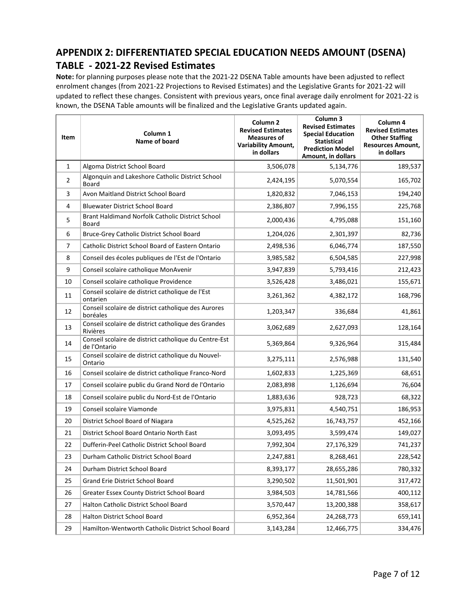### **APPENDIX 2: DIFFERENTIATED SPECIAL EDUCATION NEEDS AMOUNT (DSENA) TABLE - 2021-22 Revised Estimates**

**Note:** for planning purposes please note that the 2021-22 DSENA Table amounts have been adjusted to reflect enrolment changes (from 2021-22 Projections to Revised Estimates) and the Legislative Grants for 2021-22 will updated to reflect these changes. Consistent with previous years, once final average daily enrolment for 2021-22 is known, the DSENA Table amounts will be finalized and the Legislative Grants updated again.

| Item         | Column 1<br>Name of board                                             | Column <sub>2</sub><br><b>Revised Estimates</b><br><b>Measures of</b><br><b>Variability Amount,</b><br>in dollars | Column 3<br><b>Revised Estimates</b><br><b>Special Education</b><br><b>Statistical</b><br><b>Prediction Model</b><br>Amount, in dollars | Column 4<br><b>Revised Estimates</b><br><b>Other Staffing</b><br><b>Resources Amount,</b><br>in dollars |
|--------------|-----------------------------------------------------------------------|-------------------------------------------------------------------------------------------------------------------|-----------------------------------------------------------------------------------------------------------------------------------------|---------------------------------------------------------------------------------------------------------|
| $\mathbf{1}$ | Algoma District School Board                                          | 3,506,078                                                                                                         | 5,134,776                                                                                                                               | 189,537                                                                                                 |
| 2            | Algonquin and Lakeshore Catholic District School<br>Board             | 2,424,195                                                                                                         | 5,070,554                                                                                                                               | 165,702                                                                                                 |
| 3            | Avon Maitland District School Board                                   | 1,820,832                                                                                                         | 7,046,153                                                                                                                               | 194,240                                                                                                 |
| 4            | <b>Bluewater District School Board</b>                                | 2,386,807                                                                                                         | 7,996,155                                                                                                                               | 225,768                                                                                                 |
| 5            | Brant Haldimand Norfolk Catholic District School<br>Board             | 2,000,436                                                                                                         | 4,795,088                                                                                                                               | 151,160                                                                                                 |
| 6            | Bruce-Grey Catholic District School Board                             | 1,204,026                                                                                                         | 2,301,397                                                                                                                               | 82,736                                                                                                  |
| 7            | Catholic District School Board of Eastern Ontario                     | 2,498,536                                                                                                         | 6,046,774                                                                                                                               | 187,550                                                                                                 |
| 8            | Conseil des écoles publiques de l'Est de l'Ontario                    | 3,985,582                                                                                                         | 6,504,585                                                                                                                               | 227,998                                                                                                 |
| 9            | Conseil scolaire catholique MonAvenir                                 | 3,947,839                                                                                                         | 5,793,416                                                                                                                               | 212,423                                                                                                 |
| 10           | Conseil scolaire catholique Providence                                | 3,526,428                                                                                                         | 3,486,021                                                                                                                               | 155,671                                                                                                 |
| 11           | Conseil scolaire de district catholique de l'Est<br>ontarien          | 3,261,362                                                                                                         | 4,382,172                                                                                                                               | 168,796                                                                                                 |
| 12           | Conseil scolaire de district catholique des Aurores<br>boréales       | 1,203,347                                                                                                         | 336,684                                                                                                                                 | 41,861                                                                                                  |
| 13           | Conseil scolaire de district catholique des Grandes<br>Rivières       | 3,062,689                                                                                                         | 2,627,093                                                                                                                               | 128,164                                                                                                 |
| 14           | Conseil scolaire de district catholique du Centre-Est<br>de l'Ontario | 5,369,864                                                                                                         | 9,326,964                                                                                                                               | 315,484                                                                                                 |
| 15           | Conseil scolaire de district catholique du Nouvel-<br>Ontario         | 3,275,111                                                                                                         | 2,576,988                                                                                                                               | 131,540                                                                                                 |
| 16           | Conseil scolaire de district catholique Franco-Nord                   | 1,602,833                                                                                                         | 1,225,369                                                                                                                               | 68,651                                                                                                  |
| 17           | Conseil scolaire public du Grand Nord de l'Ontario                    | 2,083,898                                                                                                         | 1,126,694                                                                                                                               | 76,604                                                                                                  |
| 18           | Conseil scolaire public du Nord-Est de l'Ontario                      | 1,883,636                                                                                                         | 928,723                                                                                                                                 | 68,322                                                                                                  |
| 19           | Conseil scolaire Viamonde                                             | 3,975,831                                                                                                         | 4,540,751                                                                                                                               | 186,953                                                                                                 |
| 20           | District School Board of Niagara                                      | 4,525,262                                                                                                         | 16,743,757                                                                                                                              | 452,166                                                                                                 |
| 21           | District School Board Ontario North East                              | 3,093,495                                                                                                         | 3,599,474                                                                                                                               | 149,027                                                                                                 |
| 22           | Dufferin-Peel Catholic District School Board                          | 7,992,304                                                                                                         | 27,176,329                                                                                                                              | 741,237                                                                                                 |
| 23           | Durham Catholic District School Board                                 | 2,247,881                                                                                                         | 8,268,461                                                                                                                               | 228,542                                                                                                 |
| 24           | Durham District School Board                                          | 8,393,177                                                                                                         | 28,655,286                                                                                                                              | 780,332                                                                                                 |
| 25           | Grand Erie District School Board                                      | 3,290,502                                                                                                         | 11,501,901                                                                                                                              | 317,472                                                                                                 |
| 26           | Greater Essex County District School Board                            | 3,984,503                                                                                                         | 14,781,566                                                                                                                              | 400,112                                                                                                 |
| 27           | Halton Catholic District School Board                                 | 3,570,447                                                                                                         | 13,200,388                                                                                                                              | 358,617                                                                                                 |
| 28           | Halton District School Board                                          | 6,952,364                                                                                                         | 24,268,773                                                                                                                              | 659,141                                                                                                 |
| 29           | Hamilton-Wentworth Catholic District School Board                     | 3,143,284                                                                                                         | 12,466,775                                                                                                                              | 334,476                                                                                                 |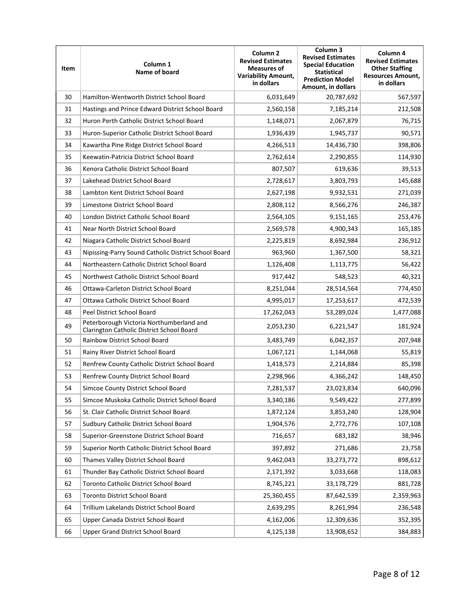| Item | Column 1<br>Name of board                                                             | Column <sub>2</sub><br><b>Revised Estimates</b><br><b>Measures of</b><br><b>Variability Amount,</b><br>in dollars | Column <sub>3</sub><br><b>Revised Estimates</b><br><b>Special Education</b><br><b>Statistical</b><br><b>Prediction Model</b><br>Amount, in dollars | Column 4<br><b>Revised Estimates</b><br><b>Other Staffing</b><br><b>Resources Amount,</b><br>in dollars |
|------|---------------------------------------------------------------------------------------|-------------------------------------------------------------------------------------------------------------------|----------------------------------------------------------------------------------------------------------------------------------------------------|---------------------------------------------------------------------------------------------------------|
| 30   | Hamilton-Wentworth District School Board                                              | 6,031,649                                                                                                         | 20,787,692                                                                                                                                         | 567,597                                                                                                 |
| 31   | Hastings and Prince Edward District School Board                                      | 2,560,158                                                                                                         | 7,185,214                                                                                                                                          | 212,508                                                                                                 |
| 32   | Huron Perth Catholic District School Board                                            | 1,148,071                                                                                                         | 2,067,879                                                                                                                                          | 76,715                                                                                                  |
| 33   | Huron-Superior Catholic District School Board                                         | 1,936,439                                                                                                         | 1,945,737                                                                                                                                          | 90,571                                                                                                  |
| 34   | Kawartha Pine Ridge District School Board                                             | 4,266,513                                                                                                         | 14,436,730                                                                                                                                         | 398,806                                                                                                 |
| 35   | Keewatin-Patricia District School Board                                               | 2,762,614                                                                                                         | 2,290,855                                                                                                                                          | 114,930                                                                                                 |
| 36   | Kenora Catholic District School Board                                                 | 807,507                                                                                                           | 619,636                                                                                                                                            | 39,513                                                                                                  |
| 37   | Lakehead District School Board                                                        | 2,728,617                                                                                                         | 3,803,793                                                                                                                                          | 145,688                                                                                                 |
| 38   | Lambton Kent District School Board                                                    | 2,627,198                                                                                                         | 9,932,531                                                                                                                                          | 271,039                                                                                                 |
| 39   | Limestone District School Board                                                       | 2,808,112                                                                                                         | 8,566,276                                                                                                                                          | 246,387                                                                                                 |
| 40   | London District Catholic School Board                                                 | 2,564,105                                                                                                         | 9,151,165                                                                                                                                          | 253,476                                                                                                 |
| 41   | Near North District School Board                                                      | 2,569,578                                                                                                         | 4,900,343                                                                                                                                          | 165,185                                                                                                 |
| 42   | Niagara Catholic District School Board                                                | 2,225,819                                                                                                         | 8,692,984                                                                                                                                          | 236,912                                                                                                 |
| 43   | Nipissing-Parry Sound Catholic District School Board                                  | 963,960                                                                                                           | 1,367,500                                                                                                                                          | 58,321                                                                                                  |
| 44   | Northeastern Catholic District School Board                                           | 1,126,408                                                                                                         | 1,113,775                                                                                                                                          | 56,422                                                                                                  |
| 45   | Northwest Catholic District School Board                                              | 917,442                                                                                                           | 548,523                                                                                                                                            | 40,321                                                                                                  |
| 46   | Ottawa-Carleton District School Board                                                 | 8,251,044                                                                                                         | 28,514,564                                                                                                                                         | 774,450                                                                                                 |
| 47   | Ottawa Catholic District School Board                                                 | 4,995,017                                                                                                         | 17,253,617                                                                                                                                         | 472,539                                                                                                 |
| 48   | Peel District School Board                                                            | 17,262,043                                                                                                        | 53,289,024                                                                                                                                         | 1,477,088                                                                                               |
| 49   | Peterborough Victoria Northumberland and<br>Clarington Catholic District School Board | 2,053,230                                                                                                         | 6,221,547                                                                                                                                          | 181,924                                                                                                 |
| 50   | Rainbow District School Board                                                         | 3,483,749                                                                                                         | 6,042,357                                                                                                                                          | 207,948                                                                                                 |
| 51   | Rainy River District School Board                                                     | 1,067,121                                                                                                         | 1,144,068                                                                                                                                          | 55,819                                                                                                  |
| 52   | Renfrew County Catholic District School Board                                         | 1,418,573                                                                                                         | 2,214,884                                                                                                                                          | 85,398                                                                                                  |
| 53   | Renfrew County District School Board                                                  | 2,298,966                                                                                                         | 4,366,242                                                                                                                                          | 148,450                                                                                                 |
| 54   | Simcoe County District School Board                                                   | 7,281,537                                                                                                         | 23,023,834                                                                                                                                         | 640,096                                                                                                 |
| 55   | Simcoe Muskoka Catholic District School Board                                         | 3,340,186                                                                                                         | 9,549,422                                                                                                                                          | 277,899                                                                                                 |
| 56   | St. Clair Catholic District School Board                                              | 1,872,124                                                                                                         | 3,853,240                                                                                                                                          | 128,904                                                                                                 |
| 57   | Sudbury Catholic District School Board                                                | 1,904,576                                                                                                         | 2,772,776                                                                                                                                          | 107,108                                                                                                 |
| 58   | Superior-Greenstone District School Board                                             | 716,657                                                                                                           | 683,182                                                                                                                                            | 38,946                                                                                                  |
| 59   | Superior North Catholic District School Board                                         | 397,892                                                                                                           | 271,686                                                                                                                                            | 23,758                                                                                                  |
| 60   | Thames Valley District School Board                                                   | 9,462,043                                                                                                         | 33,273,772                                                                                                                                         | 898,612                                                                                                 |
| 61   | Thunder Bay Catholic District School Board                                            | 2,171,392                                                                                                         | 3,033,668                                                                                                                                          | 118,083                                                                                                 |
| 62   | Toronto Catholic District School Board                                                | 8,745,221                                                                                                         | 33,178,729                                                                                                                                         | 881,728                                                                                                 |
| 63   | <b>Toronto District School Board</b>                                                  | 25,360,455                                                                                                        | 87,642,539                                                                                                                                         | 2,359,963                                                                                               |
| 64   | Trillium Lakelands District School Board                                              | 2,639,295                                                                                                         | 8,261,994                                                                                                                                          | 236,548                                                                                                 |
| 65   | Upper Canada District School Board                                                    | 4,162,006                                                                                                         | 12,309,636                                                                                                                                         | 352,395                                                                                                 |
| 66   | <b>Upper Grand District School Board</b>                                              | 4,125,138                                                                                                         | 13,908,652                                                                                                                                         | 384,883                                                                                                 |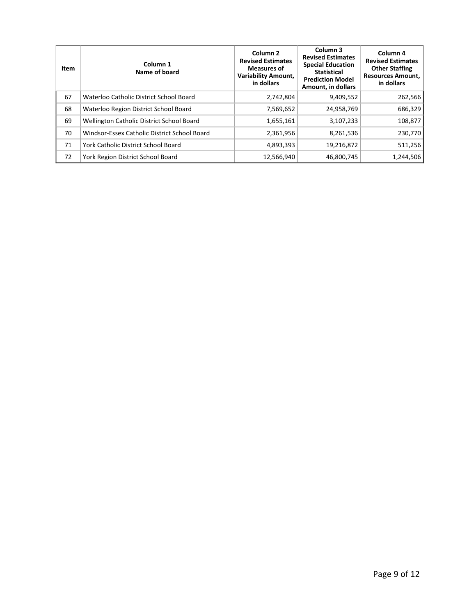| Item | Column 1<br>Name of board                    | Column <sub>2</sub><br><b>Revised Estimates</b><br>Measures of<br><b>Variability Amount,</b><br>in dollars | Column 3<br><b>Revised Estimates</b><br><b>Special Education</b><br><b>Statistical</b><br><b>Prediction Model</b><br>Amount, in dollars | Column 4<br><b>Revised Estimates</b><br><b>Other Staffing</b><br><b>Resources Amount,</b><br>in dollars |
|------|----------------------------------------------|------------------------------------------------------------------------------------------------------------|-----------------------------------------------------------------------------------------------------------------------------------------|---------------------------------------------------------------------------------------------------------|
| 67   | Waterloo Catholic District School Board      | 2,742,804                                                                                                  | 9,409,552                                                                                                                               | 262,566                                                                                                 |
| 68   | Waterloo Region District School Board        | 7,569,652                                                                                                  | 24,958,769                                                                                                                              | 686,329                                                                                                 |
| 69   | Wellington Catholic District School Board    | 1,655,161                                                                                                  | 3,107,233                                                                                                                               | 108,877                                                                                                 |
| 70   | Windsor-Essex Catholic District School Board | 2,361,956                                                                                                  | 8,261,536                                                                                                                               | 230,770                                                                                                 |
| 71   | York Catholic District School Board          | 4,893,393                                                                                                  | 19,216,872                                                                                                                              | 511,256                                                                                                 |
| 72   | York Region District School Board            | 12,566,940                                                                                                 | 46,800,745                                                                                                                              | 1,244,506                                                                                               |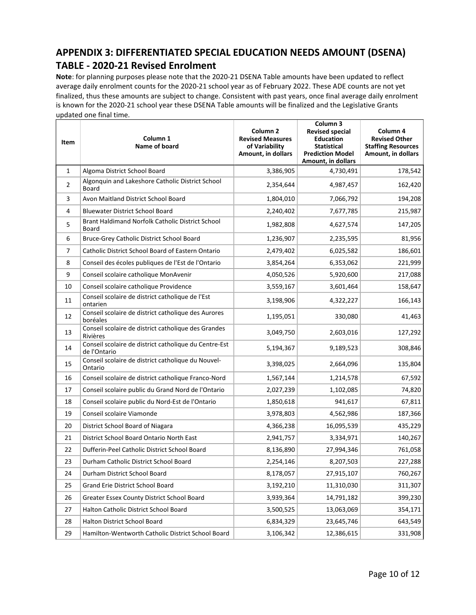# **APPENDIX 3: DIFFERENTIATED SPECIAL EDUCATION NEEDS AMOUNT (DSENA) TABLE - 2020-21 Revised Enrolment**

**Note**: for planning purposes please note that the 2020-21 DSENA Table amounts have been updated to reflect average daily enrolment counts for the 2020-21 school year as of February 2022. These ADE counts are not yet finalized, thus these amounts are subject to change. Consistent with past years, once final average daily enrolment is known for the 2020-21 school year these DSENA Table amounts will be finalized and the Legislative Grants updated one final time.

| Item           | Column 1<br>Name of board                                             | Column <sub>2</sub><br><b>Revised Measures</b><br>of Variability<br>Amount, in dollars | Column 3<br><b>Revised special</b><br><b>Education</b><br><b>Statistical</b><br><b>Prediction Model</b><br>Amount, in dollars | Column 4<br><b>Revised Other</b><br><b>Staffing Resources</b><br>Amount, in dollars |
|----------------|-----------------------------------------------------------------------|----------------------------------------------------------------------------------------|-------------------------------------------------------------------------------------------------------------------------------|-------------------------------------------------------------------------------------|
| $\mathbf{1}$   | Algoma District School Board                                          | 3,386,905                                                                              | 4,730,491                                                                                                                     | 178,542                                                                             |
| $\overline{2}$ | Algonquin and Lakeshore Catholic District School<br><b>Board</b>      | 2,354,644                                                                              | 4,987,457                                                                                                                     | 162,420                                                                             |
| 3              | Avon Maitland District School Board                                   | 1,804,010                                                                              | 7,066,792                                                                                                                     | 194,208                                                                             |
| 4              | <b>Bluewater District School Board</b>                                | 2,240,402                                                                              | 7,677,785                                                                                                                     | 215,987                                                                             |
| 5              | Brant Haldimand Norfolk Catholic District School<br>Board             | 1,982,808                                                                              | 4,627,574                                                                                                                     | 147,205                                                                             |
| 6              | Bruce-Grey Catholic District School Board                             | 1,236,907                                                                              | 2,235,595                                                                                                                     | 81,956                                                                              |
| 7              | Catholic District School Board of Eastern Ontario                     | 2,479,402                                                                              | 6,025,582                                                                                                                     | 186,601                                                                             |
| 8              | Conseil des écoles publiques de l'Est de l'Ontario                    | 3,854,264                                                                              | 6,353,062                                                                                                                     | 221,999                                                                             |
| 9              | Conseil scolaire catholique MonAvenir                                 | 4,050,526                                                                              | 5,920,600                                                                                                                     | 217,088                                                                             |
| 10             | Conseil scolaire catholique Providence                                | 3,559,167                                                                              | 3,601,464                                                                                                                     | 158,647                                                                             |
| 11             | Conseil scolaire de district catholique de l'Est<br>ontarien          | 3,198,906                                                                              | 4,322,227                                                                                                                     | 166,143                                                                             |
| 12             | Conseil scolaire de district catholique des Aurores<br>boréales       | 1,195,051                                                                              | 330,080                                                                                                                       | 41,463                                                                              |
| 13             | Conseil scolaire de district catholique des Grandes<br>Rivières       | 3,049,750                                                                              | 2,603,016                                                                                                                     | 127,292                                                                             |
| 14             | Conseil scolaire de district catholique du Centre-Est<br>de l'Ontario | 5,194,367                                                                              | 9,189,523                                                                                                                     | 308,846                                                                             |
| 15             | Conseil scolaire de district catholique du Nouvel-<br>Ontario         | 3,398,025                                                                              | 2,664,096                                                                                                                     | 135,804                                                                             |
| 16             | Conseil scolaire de district catholique Franco-Nord                   | 1,567,144                                                                              | 1,214,578                                                                                                                     | 67,592                                                                              |
| 17             | Conseil scolaire public du Grand Nord de l'Ontario                    | 2,027,239                                                                              | 1,102,085                                                                                                                     | 74,820                                                                              |
| 18             | Conseil scolaire public du Nord-Est de l'Ontario                      | 1,850,618                                                                              | 941,617                                                                                                                       | 67,811                                                                              |
| 19             | Conseil scolaire Viamonde                                             | 3,978,803                                                                              | 4,562,986                                                                                                                     | 187,366                                                                             |
| 20             | District School Board of Niagara                                      | 4,366,238                                                                              | 16,095,539                                                                                                                    | 435,229                                                                             |
| 21             | District School Board Ontario North East                              | 2,941,757                                                                              | 3,334,971                                                                                                                     | 140,267                                                                             |
| 22             | Dufferin-Peel Catholic District School Board                          | 8,136,890                                                                              | 27,994,346                                                                                                                    | 761,058                                                                             |
| 23             | Durham Catholic District School Board                                 | 2,254,146                                                                              | 8,207,503                                                                                                                     | 227,288                                                                             |
| 24             | Durham District School Board                                          | 8,178,057                                                                              | 27,915,107                                                                                                                    | 760,267                                                                             |
| 25             | Grand Erie District School Board                                      | 3,192,210                                                                              | 11,310,030                                                                                                                    | 311,307                                                                             |
| 26             | Greater Essex County District School Board                            | 3,939,364                                                                              | 14,791,182                                                                                                                    | 399,230                                                                             |
| 27             | Halton Catholic District School Board                                 | 3,500,525                                                                              | 13,063,069                                                                                                                    | 354,171                                                                             |
| 28             | Halton District School Board                                          | 6,834,329                                                                              | 23,645,746                                                                                                                    | 643,549                                                                             |
| 29             | Hamilton-Wentworth Catholic District School Board                     | 3,106,342                                                                              | 12,386,615                                                                                                                    | 331,908                                                                             |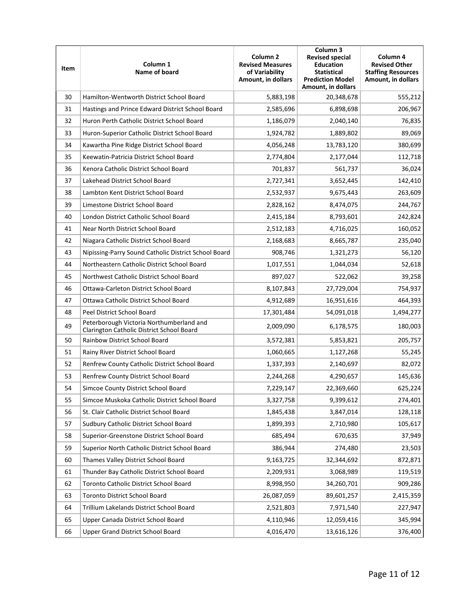| Item | Column 1<br>Name of board                                                             | Column <sub>2</sub><br><b>Revised Measures</b><br>of Variability<br>Amount, in dollars | Column 3<br><b>Revised special</b><br><b>Education</b><br><b>Statistical</b><br><b>Prediction Model</b><br>Amount, in dollars | Column 4<br><b>Revised Other</b><br><b>Staffing Resources</b><br>Amount, in dollars |
|------|---------------------------------------------------------------------------------------|----------------------------------------------------------------------------------------|-------------------------------------------------------------------------------------------------------------------------------|-------------------------------------------------------------------------------------|
| 30   | Hamilton-Wentworth District School Board                                              | 5,883,198                                                                              | 20,348,678                                                                                                                    | 555,212                                                                             |
| 31   | Hastings and Prince Edward District School Board                                      | 2,585,696                                                                              | 6,898,698                                                                                                                     | 206,967                                                                             |
| 32   | Huron Perth Catholic District School Board                                            | 1,186,079                                                                              | 2,040,140                                                                                                                     | 76,835                                                                              |
| 33   | Huron-Superior Catholic District School Board                                         | 1,924,782                                                                              | 1,889,802                                                                                                                     | 89,069                                                                              |
| 34   | Kawartha Pine Ridge District School Board                                             | 4,056,248                                                                              | 13,783,120                                                                                                                    | 380,699                                                                             |
| 35   | Keewatin-Patricia District School Board                                               | 2,774,804                                                                              | 2,177,044                                                                                                                     | 112,718                                                                             |
| 36   | Kenora Catholic District School Board                                                 | 701,837                                                                                | 561,737                                                                                                                       | 36,024                                                                              |
| 37   | Lakehead District School Board                                                        | 2,727,341                                                                              | 3,652,445                                                                                                                     | 142,410                                                                             |
| 38   | Lambton Kent District School Board                                                    | 2,532,937                                                                              | 9,675,443                                                                                                                     | 263,609                                                                             |
| 39   | Limestone District School Board                                                       | 2,828,162                                                                              | 8,474,075                                                                                                                     | 244,767                                                                             |
| 40   | London District Catholic School Board                                                 | 2,415,184                                                                              | 8,793,601                                                                                                                     | 242,824                                                                             |
| 41   | Near North District School Board                                                      | 2,512,183                                                                              | 4,716,025                                                                                                                     | 160,052                                                                             |
| 42   | Niagara Catholic District School Board                                                | 2,168,683                                                                              | 8,665,787                                                                                                                     | 235,040                                                                             |
| 43   | Nipissing-Parry Sound Catholic District School Board                                  | 908,746                                                                                | 1,321,273                                                                                                                     | 56,120                                                                              |
| 44   | Northeastern Catholic District School Board                                           | 1,017,551                                                                              | 1,044,034                                                                                                                     | 52,618                                                                              |
| 45   | Northwest Catholic District School Board                                              | 897,027                                                                                | 522,062                                                                                                                       | 39,258                                                                              |
| 46   | Ottawa-Carleton District School Board                                                 | 8,107,843                                                                              | 27,729,004                                                                                                                    | 754,937                                                                             |
| 47   | Ottawa Catholic District School Board                                                 | 4,912,689                                                                              | 16,951,616                                                                                                                    | 464,393                                                                             |
| 48   | Peel District School Board                                                            | 17,301,484                                                                             | 54,091,018                                                                                                                    | 1,494,277                                                                           |
| 49   | Peterborough Victoria Northumberland and<br>Clarington Catholic District School Board | 2,009,090                                                                              | 6,178,575                                                                                                                     | 180,003                                                                             |
| 50   | Rainbow District School Board                                                         | 3,572,381                                                                              | 5,853,821                                                                                                                     | 205,757                                                                             |
| 51   | Rainy River District School Board                                                     | 1,060,665                                                                              | 1,127,268                                                                                                                     | 55,245                                                                              |
| 52   | Renfrew County Catholic District School Board                                         | 1,337,393                                                                              | 2,140,697                                                                                                                     | 82,072                                                                              |
| 53   | Renfrew County District School Board                                                  | 2,244,268                                                                              | 4,290,657                                                                                                                     | 145,636                                                                             |
| 54   | Simcoe County District School Board                                                   | 7,229,147                                                                              | 22,369,660                                                                                                                    | 625,224                                                                             |
| 55   | Simcoe Muskoka Catholic District School Board                                         | 3,327,758                                                                              | 9,399,612                                                                                                                     | 274,401                                                                             |
| 56   | St. Clair Catholic District School Board                                              | 1,845,438                                                                              | 3,847,014                                                                                                                     | 128,118                                                                             |
| 57   | Sudbury Catholic District School Board                                                | 1,899,393                                                                              | 2,710,980                                                                                                                     | 105,617                                                                             |
| 58   | Superior-Greenstone District School Board                                             | 685,494                                                                                | 670,635                                                                                                                       | 37,949                                                                              |
| 59   | Superior North Catholic District School Board                                         | 386,944                                                                                | 274,480                                                                                                                       | 23,503                                                                              |
| 60   | Thames Valley District School Board                                                   | 9,163,725                                                                              | 32,344,692                                                                                                                    | 872,871                                                                             |
| 61   | Thunder Bay Catholic District School Board                                            | 2,209,931                                                                              | 3,068,989                                                                                                                     | 119,519                                                                             |
| 62   | Toronto Catholic District School Board                                                | 8,998,950                                                                              | 34,260,701                                                                                                                    | 909,286                                                                             |
| 63   | Toronto District School Board                                                         | 26,087,059                                                                             | 89,601,257                                                                                                                    | 2,415,359                                                                           |
| 64   | Trillium Lakelands District School Board                                              | 2,521,803                                                                              | 7,971,540                                                                                                                     | 227,947                                                                             |
| 65   | Upper Canada District School Board                                                    | 4,110,946                                                                              | 12,059,416                                                                                                                    | 345,994                                                                             |
| 66   | Upper Grand District School Board                                                     | 4,016,470                                                                              | 13,616,126                                                                                                                    | 376,400                                                                             |